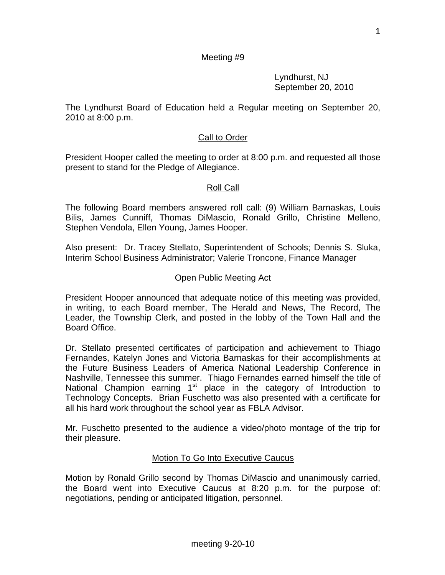Lyndhurst, NJ September 20, 2010

The Lyndhurst Board of Education held a Regular meeting on September 20, 2010 at 8:00 p.m.

## Call to Order

President Hooper called the meeting to order at 8:00 p.m. and requested all those present to stand for the Pledge of Allegiance.

#### Roll Call

The following Board members answered roll call: (9) William Barnaskas, Louis Bilis, James Cunniff, Thomas DiMascio, Ronald Grillo, Christine Melleno, Stephen Vendola, Ellen Young, James Hooper.

Also present: Dr. Tracey Stellato, Superintendent of Schools; Dennis S. Sluka, Interim School Business Administrator; Valerie Troncone, Finance Manager

#### Open Public Meeting Act

President Hooper announced that adequate notice of this meeting was provided, in writing, to each Board member, The Herald and News, The Record, The Leader, the Township Clerk, and posted in the lobby of the Town Hall and the Board Office.

Dr. Stellato presented certificates of participation and achievement to Thiago Fernandes, Katelyn Jones and Victoria Barnaskas for their accomplishments at the Future Business Leaders of America National Leadership Conference in Nashville, Tennessee this summer. Thiago Fernandes earned himself the title of National Champion earning  $1<sup>st</sup>$  place in the category of Introduction to Technology Concepts. Brian Fuschetto was also presented with a certificate for all his hard work throughout the school year as FBLA Advisor.

Mr. Fuschetto presented to the audience a video/photo montage of the trip for their pleasure.

#### Motion To Go Into Executive Caucus

Motion by Ronald Grillo second by Thomas DiMascio and unanimously carried, the Board went into Executive Caucus at 8:20 p.m. for the purpose of: negotiations, pending or anticipated litigation, personnel.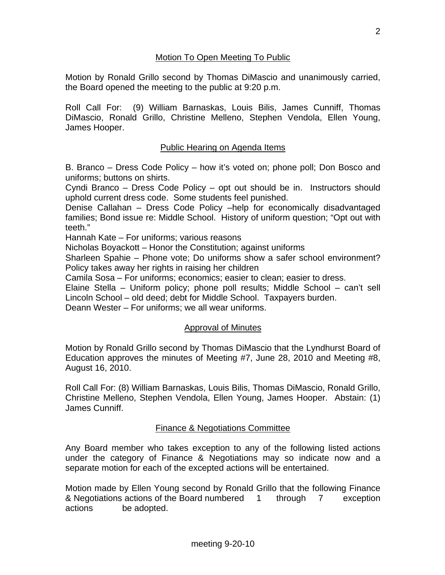## Motion To Open Meeting To Public

Motion by Ronald Grillo second by Thomas DiMascio and unanimously carried, the Board opened the meeting to the public at 9:20 p.m.

Roll Call For: (9) William Barnaskas, Louis Bilis, James Cunniff, Thomas DiMascio, Ronald Grillo, Christine Melleno, Stephen Vendola, Ellen Young, James Hooper.

## Public Hearing on Agenda Items

B. Branco – Dress Code Policy – how it's voted on; phone poll; Don Bosco and uniforms; buttons on shirts.

Cyndi Branco – Dress Code Policy – opt out should be in. Instructors should uphold current dress code. Some students feel punished.

Denise Callahan – Dress Code Policy –help for economically disadvantaged families; Bond issue re: Middle School. History of uniform question; "Opt out with teeth."

Hannah Kate – For uniforms; various reasons

Nicholas Boyackott – Honor the Constitution; against uniforms

Sharleen Spahie – Phone vote; Do uniforms show a safer school environment? Policy takes away her rights in raising her children

Camila Sosa – For uniforms; economics; easier to clean; easier to dress.

Elaine Stella – Uniform policy; phone poll results; Middle School – can't sell Lincoln School – old deed; debt for Middle School. Taxpayers burden.

Deann Wester – For uniforms; we all wear uniforms.

#### Approval of Minutes

Motion by Ronald Grillo second by Thomas DiMascio that the Lyndhurst Board of Education approves the minutes of Meeting #7, June 28, 2010 and Meeting #8, August 16, 2010.

Roll Call For: (8) William Barnaskas, Louis Bilis, Thomas DiMascio, Ronald Grillo, Christine Melleno, Stephen Vendola, Ellen Young, James Hooper. Abstain: (1) James Cunniff.

#### Finance & Negotiations Committee

Any Board member who takes exception to any of the following listed actions under the category of Finance & Negotiations may so indicate now and a separate motion for each of the excepted actions will be entertained.

Motion made by Ellen Young second by Ronald Grillo that the following Finance & Negotiations actions of the Board numbered 1 through 7 exception actions be adopted.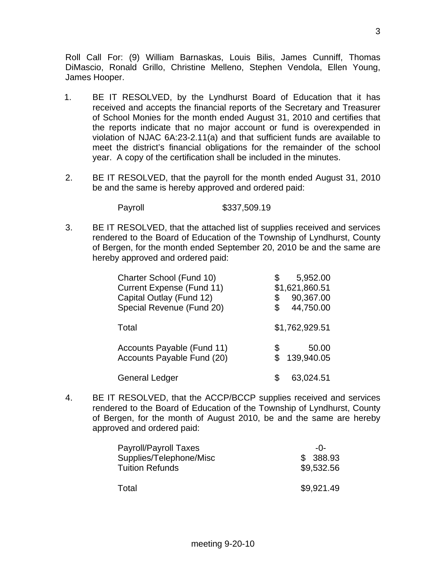Roll Call For: (9) William Barnaskas, Louis Bilis, James Cunniff, Thomas DiMascio, Ronald Grillo, Christine Melleno, Stephen Vendola, Ellen Young, James Hooper.

- 1. BE IT RESOLVED, by the Lyndhurst Board of Education that it has received and accepts the financial reports of the Secretary and Treasurer of School Monies for the month ended August 31, 2010 and certifies that the reports indicate that no major account or fund is overexpended in violation of NJAC 6A:23-2.11(a) and that sufficient funds are available to meet the district's financial obligations for the remainder of the school year. A copy of the certification shall be included in the minutes.
- 2. BE IT RESOLVED, that the payroll for the month ended August 31, 2010 be and the same is hereby approved and ordered paid:

Payroll \$337,509.19

3. BE IT RESOLVED, that the attached list of supplies received and services rendered to the Board of Education of the Township of Lyndhurst, County of Bergen, for the month ended September 20, 2010 be and the same are hereby approved and ordered paid:

| Charter School (Fund 10)<br><b>Current Expense (Fund 11)</b><br>Capital Outlay (Fund 12)<br>Special Revenue (Fund 20) | 5,952.00<br>\$1,621,860.51<br>90,367.00<br>\$<br>44,750.00 |
|-----------------------------------------------------------------------------------------------------------------------|------------------------------------------------------------|
| Total                                                                                                                 | \$1,762,929.51                                             |
| Accounts Payable (Fund 11)<br>Accounts Payable Fund (20)                                                              | 50.00<br>S<br>139,940.05                                   |
| <b>General Ledger</b>                                                                                                 | 63,024.51                                                  |

4. BE IT RESOLVED, that the ACCP/BCCP supplies received and services rendered to the Board of Education of the Township of Lyndhurst, County of Bergen, for the month of August 2010, be and the same are hereby approved and ordered paid:

| Payroll/Payroll Taxes   | $-0-$      |
|-------------------------|------------|
| Supplies/Telephone/Misc | \$ 388.93  |
| <b>Tuition Refunds</b>  | \$9,532.56 |
|                         |            |
| Total                   | \$9,921.49 |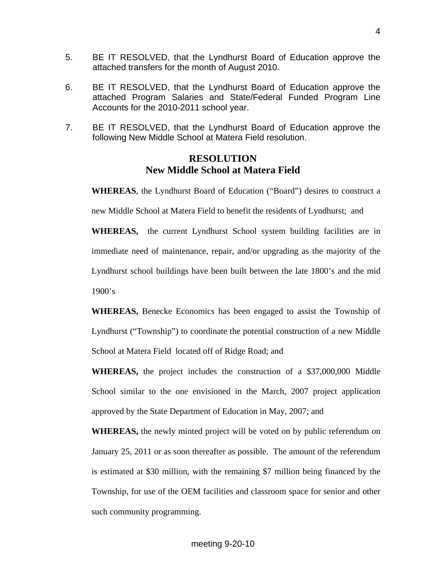- 5. BE IT RESOLVED, that the Lyndhurst Board of Education approve the attached transfers for the month of August 2010.
- 6. BE IT RESOLVED, that the Lyndhurst Board of Education approve the attached Program Salaries and State/Federal Funded Program Line Accounts for the 2010-2011 school year.
- 7. BE IT RESOLVED, that the Lyndhurst Board of Education approve the following New Middle School at Matera Field resolution.

# **RESOLUTION New Middle School at Matera Field**

**WHEREAS**, the Lyndhurst Board of Education ("Board") desires to construct a new Middle School at Matera Field to benefit the residents of Lyndhurst; and

**WHEREAS,** the current Lyndhurst School system building facilities are in immediate need of maintenance, repair, and/or upgrading as the majority of the Lyndhurst school buildings have been built between the late 1800's and the mid 1900's

**WHEREAS,** Benecke Economics has been engaged to assist the Township of Lyndhurst ("Township") to coordinate the potential construction of a new Middle School at Matera Field located off of Ridge Road; and

**WHEREAS,** the project includes the construction of a \$37,000,000 Middle School similar to the one envisioned in the March, 2007 project application approved by the State Department of Education in May, 2007; and

**WHEREAS,** the newly minted project will be voted on by public referendum on January 25, 2011 or as soon thereafter as possible. The amount of the referendum is estimated at \$30 million, with the remaining \$7 million being financed by the Township, for use of the OEM facilities and classroom space for senior and other such community programming.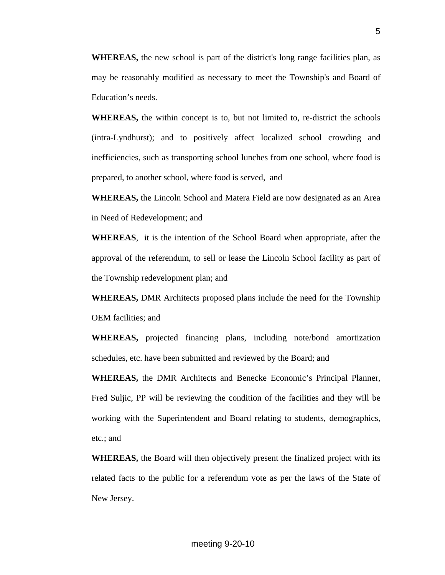**WHEREAS,** the new school is part of the district's long range facilities plan, as may be reasonably modified as necessary to meet the Township's and Board of Education's needs.

**WHEREAS,** the within concept is to, but not limited to, re-district the schools (intra-Lyndhurst); and to positively affect localized school crowding and inefficiencies, such as transporting school lunches from one school, where food is prepared, to another school, where food is served, and

**WHEREAS,** the Lincoln School and Matera Field are now designated as an Area in Need of Redevelopment; and

**WHEREAS**, it is the intention of the School Board when appropriate, after the approval of the referendum, to sell or lease the Lincoln School facility as part of the Township redevelopment plan; and

**WHEREAS,** DMR Architects proposed plans include the need for the Township OEM facilities; and

**WHEREAS,** projected financing plans, including note/bond amortization schedules, etc. have been submitted and reviewed by the Board; and

**WHEREAS,** the DMR Architects and Benecke Economic's Principal Planner, Fred Suljic, PP will be reviewing the condition of the facilities and they will be working with the Superintendent and Board relating to students, demographics, etc.; and

**WHEREAS,** the Board will then objectively present the finalized project with its related facts to the public for a referendum vote as per the laws of the State of New Jersey.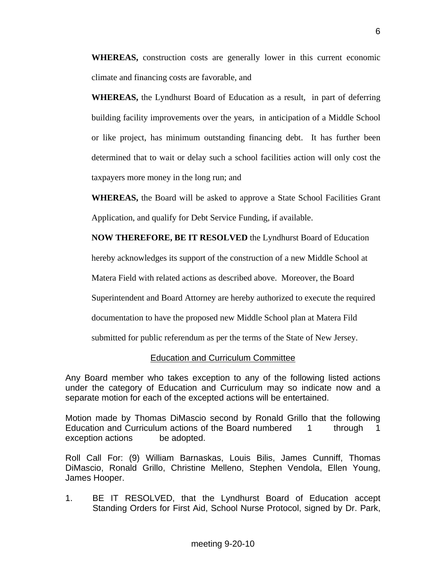**WHEREAS,** construction costs are generally lower in this current economic climate and financing costs are favorable, and

**WHEREAS,** the Lyndhurst Board of Education as a result, in part of deferring building facility improvements over the years, in anticipation of a Middle School or like project, has minimum outstanding financing debt. It has further been determined that to wait or delay such a school facilities action will only cost the taxpayers more money in the long run; and

**WHEREAS,** the Board will be asked to approve a State School Facilities Grant Application, and qualify for Debt Service Funding, if available.

**NOW THEREFORE, BE IT RESOLVED** the Lyndhurst Board of Education

hereby acknowledges its support of the construction of a new Middle School at

Matera Field with related actions as described above. Moreover, the Board

Superintendent and Board Attorney are hereby authorized to execute the required

documentation to have the proposed new Middle School plan at Matera Fild

submitted for public referendum as per the terms of the State of New Jersey.

#### Education and Curriculum Committee

Any Board member who takes exception to any of the following listed actions under the category of Education and Curriculum may so indicate now and a separate motion for each of the excepted actions will be entertained.

Motion made by Thomas DiMascio second by Ronald Grillo that the following Education and Curriculum actions of the Board numbered 1 through 1 exception actions be adopted.

Roll Call For: (9) William Barnaskas, Louis Bilis, James Cunniff, Thomas DiMascio, Ronald Grillo, Christine Melleno, Stephen Vendola, Ellen Young, James Hooper.

1. BE IT RESOLVED, that the Lyndhurst Board of Education accept Standing Orders for First Aid, School Nurse Protocol, signed by Dr. Park,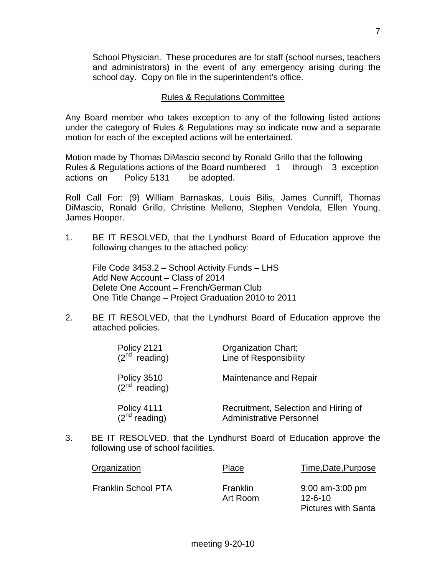School Physician. These procedures are for staff (school nurses, teachers and administrators) in the event of any emergency arising during the school day. Copy on file in the superintendent's office.

#### Rules & Regulations Committee

Any Board member who takes exception to any of the following listed actions under the category of Rules & Regulations may so indicate now and a separate motion for each of the excepted actions will be entertained.

Motion made by Thomas DiMascio second by Ronald Grillo that the following Rules & Regulations actions of the Board numbered 1 through 3 exception actions on Policy 5131 be adopted.

Roll Call For: (9) William Barnaskas, Louis Bilis, James Cunniff, Thomas DiMascio, Ronald Grillo, Christine Melleno, Stephen Vendola, Ellen Young, James Hooper.

1. BE IT RESOLVED, that the Lyndhurst Board of Education approve the following changes to the attached policy:

 File Code 3453.2 – School Activity Funds – LHS Add New Account – Class of 2014 Delete One Account – French/German Club One Title Change – Project Graduation 2010 to 2011

2. BE IT RESOLVED, that the Lyndhurst Board of Education approve the attached policies.

| Policy 2121<br>$(2^{nd}$ reading) | Organization Chart;<br>Line of Responsibility                           |
|-----------------------------------|-------------------------------------------------------------------------|
| Policy 3510<br>$(2^{nd}$ reading) | Maintenance and Repair                                                  |
| Policy 4111<br>$(2^{nd}$ reading) | Recruitment, Selection and Hiring of<br><b>Administrative Personnel</b> |

3. BE IT RESOLVED, that the Lyndhurst Board of Education approve the following use of school facilities.

| Organization        | Place                | Time, Date, Purpose                                              |
|---------------------|----------------------|------------------------------------------------------------------|
| Franklin School PTA | Franklin<br>Art Room | $9:00$ am-3:00 pm<br>$12 - 6 - 10$<br><b>Pictures with Santa</b> |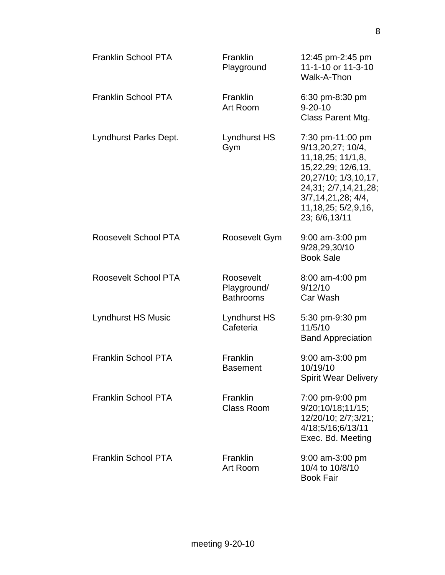| <b>Franklin School PTA</b> | Franklin<br>Playground                       | 12:45 pm-2:45 pm<br>11-1-10 or 11-3-10<br>Walk-A-Thon                                                                                                                                                         |
|----------------------------|----------------------------------------------|---------------------------------------------------------------------------------------------------------------------------------------------------------------------------------------------------------------|
| <b>Franklin School PTA</b> | <b>Franklin</b><br>Art Room                  | 6:30 pm-8:30 pm<br>$9 - 20 - 10$<br>Class Parent Mtg.                                                                                                                                                         |
| Lyndhurst Parks Dept.      | Lyndhurst HS<br>Gym                          | 7:30 pm-11:00 pm<br>9/13,20,27; 10/4,<br>11, 18, 25; 11/1, 8,<br>15,22,29; 12/6,13,<br>20,27/10; 1/3,10,17,<br>24, 31; 2/7, 14, 21, 28;<br>3/7, 14, 21, 28; 4/4,<br>11, 18, 25; 5/2, 9, 16,<br>23; 6/6, 13/11 |
| Roosevelt School PTA       | Roosevelt Gym                                | 9:00 am-3:00 pm<br>9/28,29,30/10<br><b>Book Sale</b>                                                                                                                                                          |
| Roosevelt School PTA       | Roosevelt<br>Playground/<br><b>Bathrooms</b> | 8:00 am-4:00 pm<br>9/12/10<br>Car Wash                                                                                                                                                                        |
| <b>Lyndhurst HS Music</b>  | <b>Lyndhurst HS</b><br>Cafeteria             | 5:30 pm-9:30 pm<br>11/5/10<br><b>Band Appreciation</b>                                                                                                                                                        |
| <b>Franklin School PTA</b> | Franklin<br><b>Basement</b>                  | 9:00 am-3:00 pm<br>10/19/10<br><b>Spirit Wear Delivery</b>                                                                                                                                                    |
| <b>Franklin School PTA</b> | Franklin<br><b>Class Room</b>                | 7:00 pm-9:00 pm<br>9/20;10/18;11/15;<br>12/20/10; 2/7;3/21;<br>4/18;5/16;6/13/11<br>Exec. Bd. Meeting                                                                                                         |
| Franklin School PTA        | Franklin<br>Art Room                         | 9:00 am-3:00 pm<br>10/4 to 10/8/10<br><b>Book Fair</b>                                                                                                                                                        |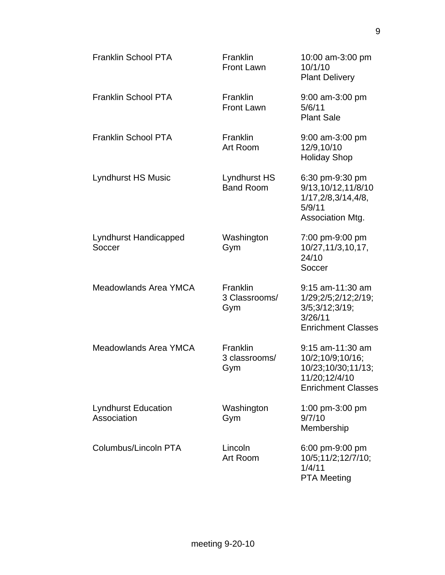| <b>Franklin School PTA</b>                | Franklin<br><b>Front Lawn</b>        | 10:00 am-3:00 pm<br>10/1/10<br><b>Plant Delivery</b>                                                     |
|-------------------------------------------|--------------------------------------|----------------------------------------------------------------------------------------------------------|
| <b>Franklin School PTA</b>                | <b>Franklin</b><br><b>Front Lawn</b> | $9:00$ am-3:00 pm<br>5/6/11<br><b>Plant Sale</b>                                                         |
| <b>Franklin School PTA</b>                | Franklin<br>Art Room                 | 9:00 am-3:00 pm<br>12/9,10/10<br><b>Holiday Shop</b>                                                     |
| <b>Lyndhurst HS Music</b>                 | Lyndhurst HS<br><b>Band Room</b>     | 6:30 pm-9:30 pm<br>9/13,10/12,11/8/10<br>1/17, 2/8, 3/14, 4/8,<br>5/9/11<br>Association Mtg.             |
| <b>Lyndhurst Handicapped</b><br>Soccer    | Washington<br>Gym                    | 7:00 pm-9:00 pm<br>10/27, 11/3, 10, 17,<br>24/10<br>Soccer                                               |
| Meadowlands Area YMCA                     | Franklin<br>3 Classrooms/<br>Gym     | 9:15 am-11:30 am<br>1/29;2/5;2/12;2/19;<br>3/5;3/12;3/19;<br>3/26/11<br><b>Enrichment Classes</b>        |
| Meadowlands Area YMCA                     | Franklin<br>3 classrooms/<br>Gym     | 9:15 am-11:30 am<br>10/2;10/9;10/16;<br>10/23;10/30;11/13;<br>11/20;12/4/10<br><b>Enrichment Classes</b> |
| <b>Lyndhurst Education</b><br>Association | Washington<br>Gym                    | 1:00 pm-3:00 pm<br>9/7/10<br>Membership                                                                  |
| Columbus/Lincoln PTA                      | Lincoln<br>Art Room                  | 6:00 pm-9:00 pm<br>10/5;11/2;12/7/10;<br>1/4/11<br><b>PTA Meeting</b>                                    |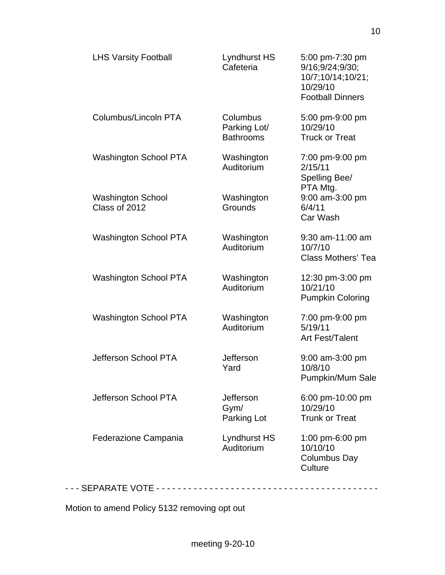| <b>LHS Varsity Football</b>               | Lyndhurst HS<br>Cafeteria                    | 5:00 pm-7:30 pm<br>9/16;9/24;9/30;<br>10/7;10/14;10/21;<br>10/29/10<br><b>Football Dinners</b> |
|-------------------------------------------|----------------------------------------------|------------------------------------------------------------------------------------------------|
| Columbus/Lincoln PTA                      | Columbus<br>Parking Lot/<br><b>Bathrooms</b> | 5:00 pm-9:00 pm<br>10/29/10<br><b>Truck or Treat</b>                                           |
| <b>Washington School PTA</b>              | Washington<br>Auditorium                     | 7:00 pm-9:00 pm<br>2/15/11<br>Spelling Bee/<br>PTA Mtg.                                        |
| <b>Washington School</b><br>Class of 2012 | Washington<br>Grounds                        | 9:00 am-3:00 pm<br>6/4/11<br>Car Wash                                                          |
| <b>Washington School PTA</b>              | Washington<br>Auditorium                     | $9:30$ am-11:00 am<br>10/7/10<br><b>Class Mothers' Tea</b>                                     |
| <b>Washington School PTA</b>              | Washington<br>Auditorium                     | 12:30 pm-3:00 pm<br>10/21/10<br><b>Pumpkin Coloring</b>                                        |
| <b>Washington School PTA</b>              | Washington<br>Auditorium                     | 7:00 pm-9:00 pm<br>5/19/11<br>Art Fest/Talent                                                  |
| Jefferson School PTA                      | <b>Jefferson</b><br>Yard                     | 9:00 am-3:00 pm<br>10/8/10<br>Pumpkin/Mum Sale                                                 |
| Jefferson School PTA                      | <b>Jefferson</b><br>Gym/<br>Parking Lot      | 6:00 pm-10:00 pm<br>10/29/10<br><b>Trunk or Treat</b>                                          |
| Federazione Campania                      | Lyndhurst HS<br>Auditorium                   | 1:00 pm-6:00 pm<br>10/10/10<br>Columbus Day<br>Culture                                         |

Motion to amend Policy 5132 removing opt out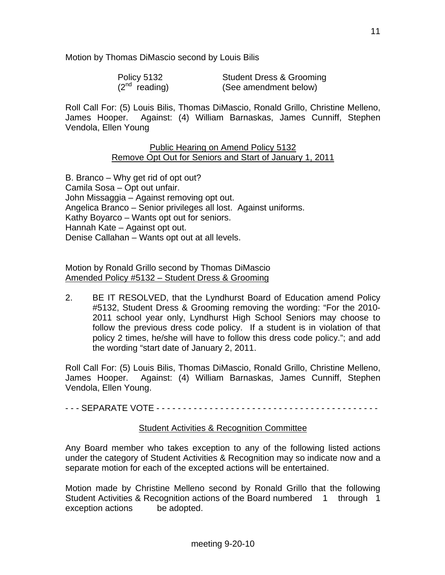Motion by Thomas DiMascio second by Louis Bilis

| Policy 5132        | <b>Student Dress &amp; Grooming</b> |
|--------------------|-------------------------------------|
| $(2^{nd}$ reading) | (See amendment below)               |

Roll Call For: (5) Louis Bilis, Thomas DiMascio, Ronald Grillo, Christine Melleno, James Hooper. Against: (4) William Barnaskas, James Cunniff, Stephen Vendola, Ellen Young

#### Public Hearing on Amend Policy 5132 Remove Opt Out for Seniors and Start of January 1, 2011

B. Branco – Why get rid of opt out? Camila Sosa – Opt out unfair. John Missaggia – Against removing opt out. Angelica Branco – Senior privileges all lost. Against uniforms. Kathy Boyarco – Wants opt out for seniors. Hannah Kate – Against opt out. Denise Callahan – Wants opt out at all levels.

Motion by Ronald Grillo second by Thomas DiMascio Amended Policy #5132 – Student Dress & Grooming

2. BE IT RESOLVED, that the Lyndhurst Board of Education amend Policy #5132, Student Dress & Grooming removing the wording: "For the 2010- 2011 school year only, Lyndhurst High School Seniors may choose to follow the previous dress code policy. If a student is in violation of that policy 2 times, he/she will have to follow this dress code policy."; and add the wording "start date of January 2, 2011.

Roll Call For: (5) Louis Bilis, Thomas DiMascio, Ronald Grillo, Christine Melleno, James Hooper. Against: (4) William Barnaskas, James Cunniff, Stephen Vendola, Ellen Young.

- - - SEPARATE VOTE - - - - - - - - - - - - - - - - - - - - - - - - - - - - - - - - - - - - - - - - - -

#### Student Activities & Recognition Committee

Any Board member who takes exception to any of the following listed actions under the category of Student Activities & Recognition may so indicate now and a separate motion for each of the excepted actions will be entertained.

Motion made by Christine Melleno second by Ronald Grillo that the following Student Activities & Recognition actions of the Board numbered 1 through 1 exception actions be adopted.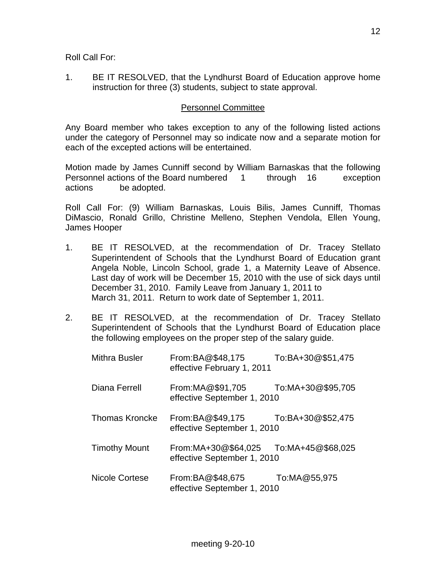Roll Call For:

1. BE IT RESOLVED, that the Lyndhurst Board of Education approve home instruction for three (3) students, subject to state approval.

#### Personnel Committee

Any Board member who takes exception to any of the following listed actions under the category of Personnel may so indicate now and a separate motion for each of the excepted actions will be entertained.

Motion made by James Cunniff second by William Barnaskas that the following Personnel actions of the Board numbered 1 through 16 exception actions be adopted.

Roll Call For: (9) William Barnaskas, Louis Bilis, James Cunniff, Thomas DiMascio, Ronald Grillo, Christine Melleno, Stephen Vendola, Ellen Young, James Hooper

- 1. BE IT RESOLVED, at the recommendation of Dr. Tracey Stellato Superintendent of Schools that the Lyndhurst Board of Education grant Angela Noble, Lincoln School, grade 1, a Maternity Leave of Absence. Last day of work will be December 15, 2010 with the use of sick days until December 31, 2010. Family Leave from January 1, 2011 to March 31, 2011. Return to work date of September 1, 2011.
- 2. BE IT RESOLVED, at the recommendation of Dr. Tracey Stellato Superintendent of Schools that the Lyndhurst Board of Education place the following employees on the proper step of the salary guide.

| <b>Mithra Busler</b>  | From:BA@\$48,175<br>effective February 1, 2011     | To:BA+30@\$51,475 |
|-----------------------|----------------------------------------------------|-------------------|
| Diana Ferrell         | From:MA@\$91,705<br>effective September 1, 2010    | To:MA+30@\$95,705 |
| <b>Thomas Kroncke</b> | From:BA@\$49,175<br>effective September 1, 2010    | To:BA+30@\$52,475 |
| <b>Timothy Mount</b>  | From:MA+30@\$64,025<br>effective September 1, 2010 | To:MA+45@\$68,025 |
| Nicole Cortese        | From:BA@\$48,675<br>effective September 1, 2010    | To:MA@55,975      |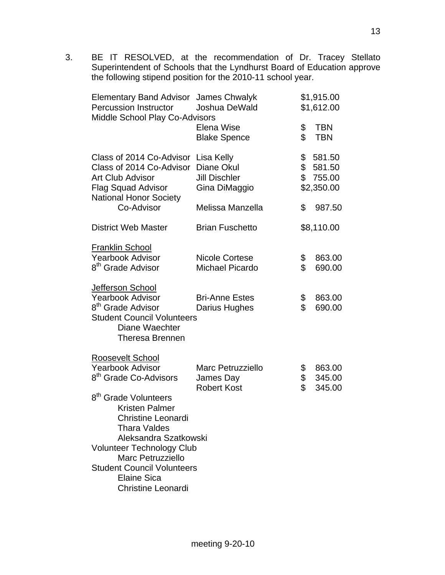3. BE IT RESOLVED, at the recommendation of Dr. Tracey Stellato Superintendent of Schools that the Lyndhurst Board of Education approve the following stipend position for the 2010-11 school year.

| <b>Elementary Band Advisor James Chwalyk</b><br><b>Percussion Instructor</b><br><b>Middle School Play Co-Advisors</b>                                                                                                                                                                                                                   | Joshua DeWald                                                     |                | \$1,915.00<br>\$1,612.00                     |
|-----------------------------------------------------------------------------------------------------------------------------------------------------------------------------------------------------------------------------------------------------------------------------------------------------------------------------------------|-------------------------------------------------------------------|----------------|----------------------------------------------|
|                                                                                                                                                                                                                                                                                                                                         | Elena Wise<br><b>Blake Spence</b>                                 | \$<br>\$       | <b>TBN</b><br><b>TBN</b>                     |
| Class of 2014 Co-Advisor<br>Class of 2014 Co-Advisor<br><b>Art Club Advisor</b><br><b>Flag Squad Advisor</b><br><b>National Honor Society</b>                                                                                                                                                                                           | Lisa Kelly<br>Diane Okul<br><b>Jill Dischler</b><br>Gina DiMaggio | \$             | 581.50<br>\$581.50<br>\$755.00<br>\$2,350.00 |
| Co-Advisor                                                                                                                                                                                                                                                                                                                              | Melissa Manzella                                                  | \$             | 987.50                                       |
| <b>District Web Master</b>                                                                                                                                                                                                                                                                                                              | <b>Brian Fuschetto</b>                                            |                | \$8,110.00                                   |
| <b>Franklin School</b><br><b>Yearbook Advisor</b><br>8 <sup>th</sup> Grade Advisor<br>Jefferson School                                                                                                                                                                                                                                  | <b>Nicole Cortese</b><br><b>Michael Picardo</b>                   | \$<br>\$       | 863.00<br>690.00                             |
| <b>Yearbook Advisor</b><br>8 <sup>th</sup> Grade Advisor<br><b>Student Council Volunteers</b><br>Diane Waechter<br><b>Theresa Brennen</b>                                                                                                                                                                                               | <b>Bri-Anne Estes</b><br>Darius Hughes                            | \$<br>\$       | 863.00<br>690.00                             |
| Roosevelt School<br><b>Yearbook Advisor</b><br>8 <sup>th</sup> Grade Co-Advisors<br>8 <sup>th</sup> Grade Volunteers<br><b>Kristen Palmer</b><br><b>Christine Leonardi</b><br>Thara Valdes<br>Aleksandra Szatkowski<br><b>Volunteer Technology Club</b><br>Marc Petruzziello<br><b>Student Council Volunteers</b><br><b>Elaine Sica</b> | <b>Marc Petruzziello</b><br>James Day<br><b>Robert Kost</b>       | \$<br>\$<br>\$ | 863.00<br>345.00<br>345.00                   |
| Christine Leonardi                                                                                                                                                                                                                                                                                                                      |                                                                   |                |                                              |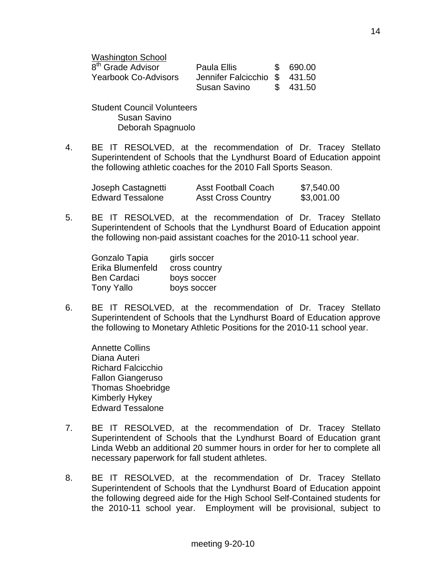| <b>Washington School</b>      |                              |           |
|-------------------------------|------------------------------|-----------|
| 8 <sup>th</sup> Grade Advisor | Paula Ellis                  | \$ 690.00 |
| <b>Yearbook Co-Advisors</b>   | Jennifer Falcicchio \$431.50 |           |
|                               | Susan Savino                 | \$ 431.50 |

 Student Council Volunteers Susan Savino Deborah Spagnuolo

4. BE IT RESOLVED, at the recommendation of Dr. Tracey Stellato Superintendent of Schools that the Lyndhurst Board of Education appoint the following athletic coaches for the 2010 Fall Sports Season.

| Joseph Castagnetti      | <b>Asst Football Coach</b> | \$7,540.00 |
|-------------------------|----------------------------|------------|
| <b>Edward Tessalone</b> | <b>Asst Cross Country</b>  | \$3,001.00 |

5. BE IT RESOLVED, at the recommendation of Dr. Tracey Stellato Superintendent of Schools that the Lyndhurst Board of Education appoint the following non-paid assistant coaches for the 2010-11 school year.

| Gonzalo Tapia      | girls soccer  |
|--------------------|---------------|
| Erika Blumenfeld   | cross country |
| <b>Ben Cardaci</b> | boys soccer   |
| <b>Tony Yallo</b>  | boys soccer   |

6. BE IT RESOLVED, at the recommendation of Dr. Tracey Stellato Superintendent of Schools that the Lyndhurst Board of Education approve the following to Monetary Athletic Positions for the 2010-11 school year.

 Annette Collins Diana Auteri Richard Falcicchio Fallon Giangeruso Thomas Shoebridge Kimberly Hykey Edward Tessalone

- 7. BE IT RESOLVED, at the recommendation of Dr. Tracey Stellato Superintendent of Schools that the Lyndhurst Board of Education grant Linda Webb an additional 20 summer hours in order for her to complete all necessary paperwork for fall student athletes.
- 8. BE IT RESOLVED, at the recommendation of Dr. Tracey Stellato Superintendent of Schools that the Lyndhurst Board of Education appoint the following degreed aide for the High School Self-Contained students for the 2010-11 school year. Employment will be provisional, subject to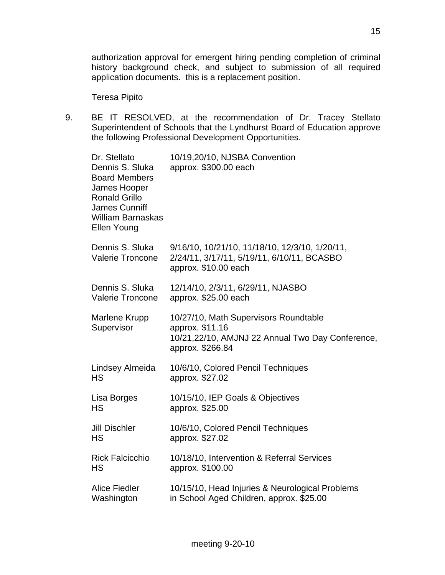authorization approval for emergent hiring pending completion of criminal history background check, and subject to submission of all required application documents. this is a replacement position.

Teresa Pipito

9. BE IT RESOLVED, at the recommendation of Dr. Tracey Stellato Superintendent of Schools that the Lyndhurst Board of Education approve the following Professional Development Opportunities.

| Dr. Stellato<br>Dennis S. Sluka<br><b>Board Members</b><br>James Hooper<br><b>Ronald Grillo</b><br><b>James Cunniff</b><br><b>William Barnaskas</b><br>Ellen Young | 10/19,20/10, NJSBA Convention<br>approx. \$300.00 each                                                                           |
|--------------------------------------------------------------------------------------------------------------------------------------------------------------------|----------------------------------------------------------------------------------------------------------------------------------|
| Dennis S. Sluka<br><b>Valerie Troncone</b>                                                                                                                         | 9/16/10, 10/21/10, 11/18/10, 12/3/10, 1/20/11,<br>2/24/11, 3/17/11, 5/19/11, 6/10/11, BCASBO<br>approx. \$10.00 each             |
| Dennis S. Sluka<br><b>Valerie Troncone</b>                                                                                                                         | 12/14/10, 2/3/11, 6/29/11, NJASBO<br>approx. \$25.00 each                                                                        |
| Marlene Krupp<br>Supervisor                                                                                                                                        | 10/27/10, Math Supervisors Roundtable<br>approx. \$11.16<br>10/21,22/10, AMJNJ 22 Annual Two Day Conference,<br>approx. \$266.84 |
| Lindsey Almeida<br><b>HS</b>                                                                                                                                       | 10/6/10, Colored Pencil Techniques<br>approx. \$27.02                                                                            |
| Lisa Borges<br><b>HS</b>                                                                                                                                           | 10/15/10, IEP Goals & Objectives<br>approx. \$25.00                                                                              |
| <b>Jill Dischler</b><br><b>HS</b>                                                                                                                                  | 10/6/10, Colored Pencil Techniques<br>approx. \$27.02                                                                            |
| <b>Rick Falcicchio</b><br>HS                                                                                                                                       | 10/18/10, Intervention & Referral Services<br>approx. \$100.00                                                                   |
| <b>Alice Fiedler</b><br>Washington                                                                                                                                 | 10/15/10, Head Injuries & Neurological Problems<br>in School Aged Children, approx. \$25.00                                      |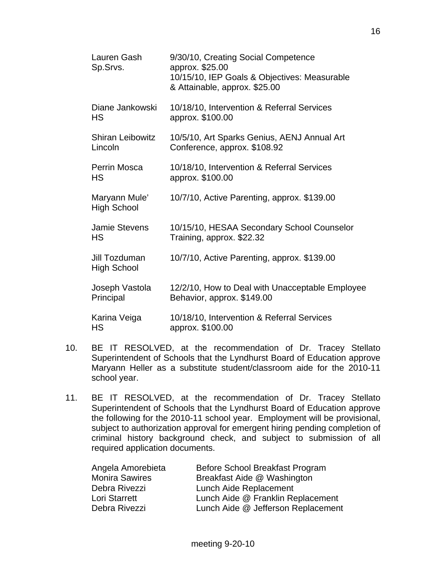| Lauren Gash<br>Sp.Srvs.             | 9/30/10, Creating Social Competence<br>approx. \$25.00<br>10/15/10, IEP Goals & Objectives: Measurable<br>& Attainable, approx. \$25.00 |
|-------------------------------------|-----------------------------------------------------------------------------------------------------------------------------------------|
| Diane Jankowski                     | 10/18/10, Intervention & Referral Services                                                                                              |
| НS                                  | approx. \$100.00                                                                                                                        |
| <b>Shiran Leibowitz</b>             | 10/5/10, Art Sparks Genius, AENJ Annual Art                                                                                             |
| Lincoln                             | Conference, approx. \$108.92                                                                                                            |
| Perrin Mosca                        | 10/18/10, Intervention & Referral Services                                                                                              |
| НS                                  | approx. \$100.00                                                                                                                        |
| Maryann Mule'<br><b>High School</b> | 10/7/10, Active Parenting, approx. \$139.00                                                                                             |
| <b>Jamie Stevens</b>                | 10/15/10, HESAA Secondary School Counselor                                                                                              |
| НS                                  | Training, approx. \$22.32                                                                                                               |
| Jill Tozduman<br>High School        | 10/7/10, Active Parenting, approx. \$139.00                                                                                             |
| Joseph Vastola                      | 12/2/10, How to Deal with Unacceptable Employee                                                                                         |
| Principal                           | Behavior, approx. \$149.00                                                                                                              |
| Karina Veiga                        | 10/18/10, Intervention & Referral Services                                                                                              |
| НS                                  | approx. \$100.00                                                                                                                        |

- 10. BE IT RESOLVED, at the recommendation of Dr. Tracey Stellato Superintendent of Schools that the Lyndhurst Board of Education approve Maryann Heller as a substitute student/classroom aide for the 2010-11 school year.
- 11. BE IT RESOLVED, at the recommendation of Dr. Tracey Stellato Superintendent of Schools that the Lyndhurst Board of Education approve the following for the 2010-11 school year. Employment will be provisional, subject to authorization approval for emergent hiring pending completion of criminal history background check, and subject to submission of all required application documents.

| Angela Amorebieta     | Before School Breakfast Program    |
|-----------------------|------------------------------------|
| <b>Monira Sawires</b> | Breakfast Aide @ Washington        |
| Debra Rivezzi         | Lunch Aide Replacement             |
| Lori Starrett         | Lunch Aide @ Franklin Replacement  |
| Debra Rivezzi         | Lunch Aide @ Jefferson Replacement |
|                       |                                    |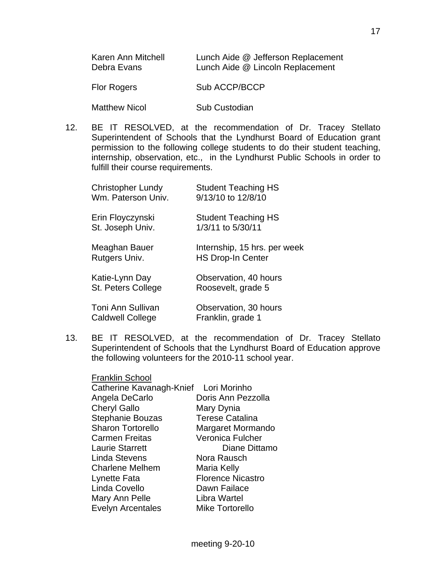| Karen Ann Mitchell<br>Debra Evans | Lunch Aide @ Jefferson Replacement<br>Lunch Aide @ Lincoln Replacement |
|-----------------------------------|------------------------------------------------------------------------|
| <b>Flor Rogers</b>                | Sub ACCP/BCCP                                                          |
| <b>Matthew Nicol</b>              | Sub Custodian                                                          |

12. BE IT RESOLVED, at the recommendation of Dr. Tracey Stellato Superintendent of Schools that the Lyndhurst Board of Education grant permission to the following college students to do their student teaching, internship, observation, etc., in the Lyndhurst Public Schools in order to fulfill their course requirements.

| <b>Christopher Lundy</b><br>Wm. Paterson Univ. | <b>Student Teaching HS</b><br>9/13/10 to 12/8/10         |
|------------------------------------------------|----------------------------------------------------------|
| Erin Floyczynski<br>St. Joseph Univ.           | <b>Student Teaching HS</b><br>1/3/11 to 5/30/11          |
| Meaghan Bauer<br>Rutgers Univ.                 | Internship, 15 hrs. per week<br><b>HS Drop-In Center</b> |
| Katie-Lynn Day<br>St. Peters College           | Observation, 40 hours<br>Roosevelt, grade 5              |
| Toni Ann Sullivan<br><b>Caldwell College</b>   | Observation, 30 hours<br>Franklin, grade 1               |

13. BE IT RESOLVED, at the recommendation of Dr. Tracey Stellato Superintendent of Schools that the Lyndhurst Board of Education approve the following volunteers for the 2010-11 school year.

| <b>Franklin School</b>                |                          |
|---------------------------------------|--------------------------|
| Catherine Kavanagh-Knief Lori Morinho |                          |
| Angela DeCarlo                        | Doris Ann Pezzolla       |
| <b>Cheryl Gallo</b>                   | Mary Dynia               |
| Stephanie Bouzas                      | <b>Terese Catalina</b>   |
| <b>Sharon Tortorello</b>              | Margaret Mormando        |
| <b>Carmen Freitas</b>                 | Veronica Fulcher         |
| <b>Laurie Starrett</b>                | Diane Dittamo            |
| <b>Linda Stevens</b>                  | Nora Rausch              |
| <b>Charlene Melhem</b>                | Maria Kelly              |
| Lynette Fata                          | <b>Florence Nicastro</b> |
| Linda Covello                         | Dawn Failace             |
| Mary Ann Pelle                        | Libra Wartel             |
| <b>Evelyn Arcentales</b>              | Mike Tortorello          |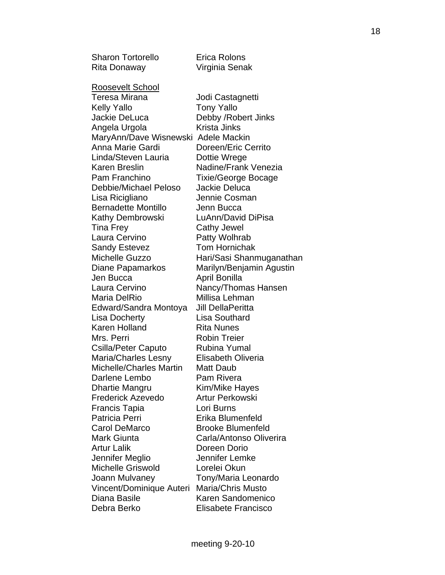Sharon Tortorello **Erica Rolons**  Rita Donaway Virginia Senak Roosevelt School Teresa Mirana Jodi Castagnetti Kelly Yallo **Tony Yallo**  Jackie DeLuca Debby /Robert Jinks Angela Urgola **Krista Jinks**  MaryAnn/Dave Wisnewski Adele Mackin Anna Marie Gardi Doreen/Eric Cerrito Linda/Steven Lauria Dottie Wrege Karen Breslin Nadine/Frank Venezia Pam Franchino Tixie/George Bocage Debbie/Michael Peloso Jackie Deluca Lisa Ricigliano Jennie Cosman Bernadette Montillo Jenn Bucca Kathy Dembrowski LuAnn/David DiPisa Tina Frey Cathy Jewel Laura Cervino **Patty Wolhrab** Sandy Estevez **Tom Hornichak**  Michelle Guzzo Hari/Sasi Shanmuganathan Diane Papamarkos Marilyn/Benjamin Agustin Jen Bucca April Bonilla Laura Cervino **Nancy/Thomas Hansen** Maria DelRio **Millisa Lehman**  Edward/Sandra Montoya Jill DellaPeritta Lisa Docherty Lisa Southard Karen Holland Rita Nunes Mrs. Perri **Nobin Treier** Csilla/Peter Caputo Rubina Yumal Maria/Charles Lesny Elisabeth Oliveria Michelle/Charles Martin Matt Daub Darlene Lembo Pam Rivera Dhartie Mangru Kim/Mike Hayes Frederick Azevedo Artur Perkowski Francis Tapia Lori Burns Patricia Perri **Erika Blumenfeld** Carol DeMarco Brooke Blumenfeld Mark Giunta Carla/Antonso Oliverira Artur Lalik Doreen Dorio Jennifer Meglio Jennifer Lemke Michelle Griswold Lorelei Okun Joann Mulvaney Tony/Maria Leonardo Vincent/Dominique Auteri Maria/Chris Musto Diana Basile **Karen Sandomenico** Debra Berko Elisabete Francisco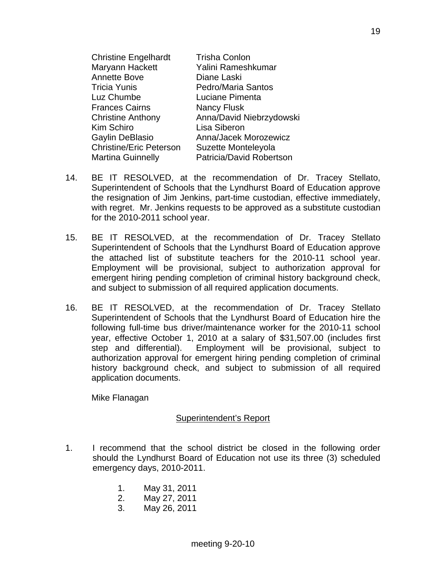| <b>Christine Engelhardt</b>    | <b>Trisha Conlon</b>     |
|--------------------------------|--------------------------|
| Maryann Hackett                | Yalini Rameshkumar       |
| <b>Annette Bove</b>            | Diane Laski              |
| <b>Tricia Yunis</b>            | Pedro/Maria Santos       |
| Luz Chumbe                     | Luciane Pimenta          |
| <b>Frances Cairns</b>          | <b>Nancy Flusk</b>       |
| <b>Christine Anthony</b>       | Anna/David Niebrzydowski |
| Kim Schiro                     | Lisa Siberon             |
| Gaylin DeBlasio                | Anna/Jacek Morozewicz    |
| <b>Christine/Eric Peterson</b> | Suzette Monteleyola      |
| <b>Martina Guinnelly</b>       | Patricia/David Robertson |

- 14. BE IT RESOLVED, at the recommendation of Dr. Tracey Stellato, Superintendent of Schools that the Lyndhurst Board of Education approve the resignation of Jim Jenkins, part-time custodian, effective immediately, with regret. Mr. Jenkins requests to be approved as a substitute custodian for the 2010-2011 school year.
- 15. BE IT RESOLVED, at the recommendation of Dr. Tracey Stellato Superintendent of Schools that the Lyndhurst Board of Education approve the attached list of substitute teachers for the 2010-11 school year. Employment will be provisional, subject to authorization approval for emergent hiring pending completion of criminal history background check, and subject to submission of all required application documents.
- 16. BE IT RESOLVED, at the recommendation of Dr. Tracey Stellato Superintendent of Schools that the Lyndhurst Board of Education hire the following full-time bus driver/maintenance worker for the 2010-11 school year, effective October 1, 2010 at a salary of \$31,507.00 (includes first step and differential). Employment will be provisional, subject to authorization approval for emergent hiring pending completion of criminal history background check, and subject to submission of all required application documents.

Mike Flanagan

#### Superintendent's Report

- 1. I recommend that the school district be closed in the following order should the Lyndhurst Board of Education not use its three (3) scheduled emergency days, 2010-2011.
	- 1. May 31, 2011 2. May 27, 2011
	- 3. May 26, 2011